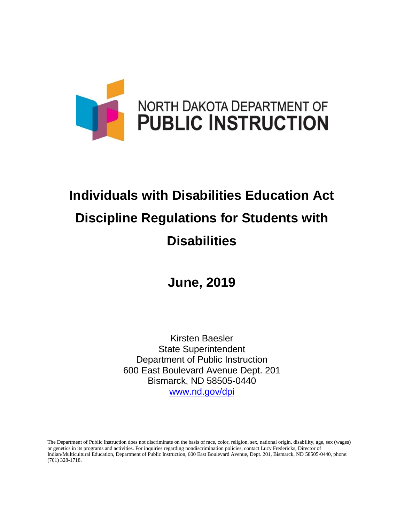

# **Individuals with Disabilities Education Act Discipline Regulations for Students with Disabilities**

**June, 2019**

Kirsten Baesler State Superintendent Department of Public Instruction 600 East Boulevard Avenue Dept. 201 Bismarck, ND 58505-0440 [www.nd.gov/dpi](http://www.nd.gov/dpi)

The Department of Public Instruction does not discriminate on the basis of race, color, religion, sex, national origin, disability, age, sex (wages) or genetics in its programs and activities. For inquiries regarding nondiscrimination policies, contact Lucy Fredericks, Director of Indian/Multicultural Education, Department of Public Instruction, 600 East Boulevard Avenue, Dept. 201, Bismarck, ND 58505-0440, phone: (701) 328-1718.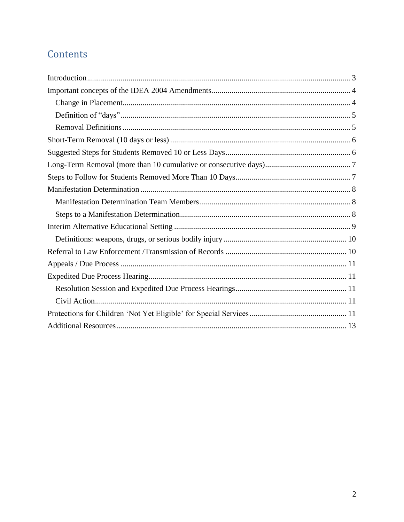## Contents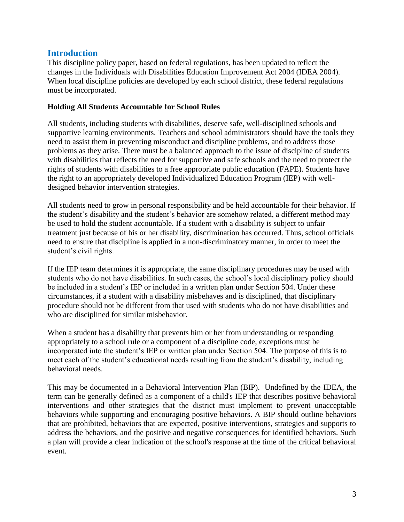## <span id="page-2-0"></span>**Introduction**

This discipline policy paper, based on federal regulations, has been updated to reflect the changes in the Individuals with Disabilities Education Improvement Act 2004 (IDEA 2004). When local discipline policies are developed by each school district, these federal regulations must be incorporated.

#### **Holding All Students Accountable for School Rules**

All students, including students with disabilities, deserve safe, well-disciplined schools and supportive learning environments. Teachers and school administrators should have the tools they need to assist them in preventing misconduct and discipline problems, and to address those problems as they arise. There must be a balanced approach to the issue of discipline of students with disabilities that reflects the need for supportive and safe schools and the need to protect the rights of students with disabilities to a free appropriate public education (FAPE). Students have the right to an appropriately developed Individualized Education Program (IEP) with welldesigned behavior intervention strategies.

All students need to grow in personal responsibility and be held accountable for their behavior. If the student's disability and the student's behavior are somehow related, a different method may be used to hold the student accountable. If a student with a disability is subject to unfair treatment just because of his or her disability, discrimination has occurred. Thus, school officials need to ensure that discipline is applied in a non-discriminatory manner, in order to meet the student's civil rights.

If the IEP team determines it is appropriate, the same disciplinary procedures may be used with students who do not have disabilities. In such cases, the school's local disciplinary policy should be included in a student's IEP or included in a written plan under Section 504. Under these circumstances, if a student with a disability misbehaves and is disciplined, that disciplinary procedure should not be different from that used with students who do not have disabilities and who are disciplined for similar misbehavior.

When a student has a disability that prevents him or her from understanding or responding appropriately to a school rule or a component of a discipline code, exceptions must be incorporated into the student's IEP or written plan under Section 504. The purpose of this is to meet each of the student's educational needs resulting from the student's disability, including behavioral needs.

This may be documented in a Behavioral Intervention Plan (BIP). Undefined by the IDEA, the term can be generally defined as a component of a child's IEP that describes positive behavioral interventions and other strategies that the district must implement to prevent unacceptable behaviors while supporting and encouraging positive behaviors. A BIP should outline behaviors that are prohibited, behaviors that are expected, positive interventions, strategies and supports to address the behaviors, and the positive and negative consequences for identified behaviors. Such a plan will provide a clear indication of the school's response at the time of the critical behavioral event.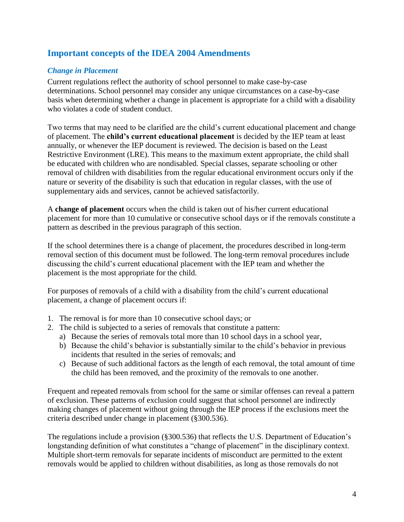## <span id="page-3-0"></span>**Important concepts of the IDEA 2004 Amendments**

#### <span id="page-3-1"></span>*Change in Placement*

Current regulations reflect the authority of school personnel to make case-by-case determinations. School personnel may consider any unique circumstances on a case-by-case basis when determining whether a change in placement is appropriate for a child with a disability who violates a code of student conduct.

Two terms that may need to be clarified are the child's current educational placement and change of placement. The **child's current educational placement** is decided by the IEP team at least annually, or whenever the IEP document is reviewed. The decision is based on the Least Restrictive Environment (LRE). This means to the maximum extent appropriate, the child shall be educated with children who are nondisabled. Special classes, separate schooling or other removal of children with disabilities from the regular educational environment occurs only if the nature or severity of the disability is such that education in regular classes, with the use of supplementary aids and services, cannot be achieved satisfactorily.

A **change of placement** occurs when the child is taken out of his/her current educational placement for more than 10 cumulative or consecutive school days or if the removals constitute a pattern as described in the previous paragraph of this section.

If the school determines there is a change of placement, the procedures described in long-term removal section of this document must be followed. The long-term removal procedures include discussing the child's current educational placement with the IEP team and whether the placement is the most appropriate for the child.

For purposes of removals of a child with a disability from the child's current educational placement, a change of placement occurs if:

- 1. The removal is for more than 10 consecutive school days; or
- 2. The child is subjected to a series of removals that constitute a pattern:
	- a) Because the series of removals total more than 10 school days in a school year,
	- b) Because the child's behavior is substantially similar to the child's behavior in previous incidents that resulted in the series of removals; and
	- c) Because of such additional factors as the length of each removal, the total amount of time the child has been removed, and the proximity of the removals to one another.

Frequent and repeated removals from school for the same or similar offenses can reveal a pattern of exclusion. These patterns of exclusion could suggest that school personnel are indirectly making changes of placement without going through the IEP process if the exclusions meet the criteria described under change in placement (§300.536).

The regulations include a provision (§300.536) that reflects the U.S. Department of Education's longstanding definition of what constitutes a "change of placement" in the disciplinary context. Multiple short-term removals for separate incidents of misconduct are permitted to the extent removals would be applied to children without disabilities, as long as those removals do not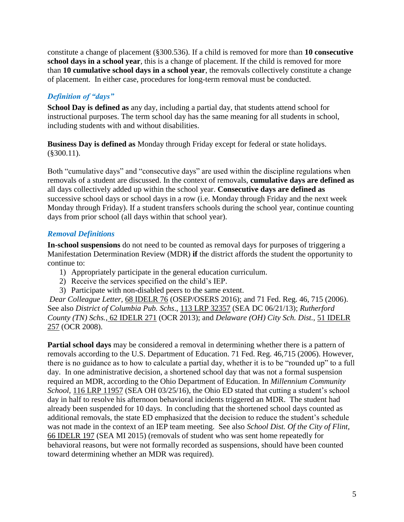constitute a change of placement (§300.536). If a child is removed for more than **10 consecutive school days in a school year**, this is a change of placement. If the child is removed for more than **10 cumulative school days in a school year**, the removals collectively constitute a change of placement. In either case, procedures for long-term removal must be conducted.

## <span id="page-4-0"></span>*Definition of "days"*

**School Day is defined as** any day, including a partial day, that students attend school for instructional purposes. The term school day has the same meaning for all students in school, including students with and without disabilities.

**Business Day is defined as** Monday through Friday except for federal or state holidays. (§300.11).

Both "cumulative days" and "consecutive days" are used within the discipline regulations when removals of a student are discussed. In the context of removals, **cumulative days are defined as** all days collectively added up within the school year. **Consecutive days are defined as**  successive school days or school days in a row (i.e. Monday through Friday and the next week Monday through Friday). If a student transfers schools during the school year, continue counting days from prior school (all days within that school year).

#### <span id="page-4-1"></span>*Removal Definitions*

**In-school suspensions** do not need to be counted as removal days for purposes of triggering a Manifestation Determination Review (MDR) **if** the district affords the student the opportunity to continue to:

- 1) Appropriately participate in the general education curriculum.
- 2) Receive the services specified on the child's IEP.
- 3) Participate with non-disabled peers to the same extent.

*Dear Colleague Letter,* 68 IDELR 76 (OSEP/OSERS 2016); and 71 Fed. Reg. 46, 715 (2006). See also *District of Columbia Pub. Schs*., 113 LRP 32357 (SEA DC 06/21/13); *Rutherford County (TN) Schs.,* 62 IDELR 271 (OCR 2013); and *Delaware (OH) City Sch. Dist.,* 51 IDELR 257 (OCR 2008).

**Partial school days** may be considered a removal in determining whether there is a pattern of removals according to the U.S. Department of Education. 71 Fed. Reg. 46,715 (2006). However, there is no guidance as to how to calculate a partial day, whether it is to be "rounded up" to a full day. In one administrative decision, a shortened school day that was not a formal suspension required an MDR, according to the Ohio Department of Education. In *Millennium Community School,* 116 LRP 11957 (SEA OH 03/25/16), the Ohio ED stated that cutting a student's school day in half to resolve his afternoon behavioral incidents triggered an MDR. The student had already been suspended for 10 days. In concluding that the shortened school days counted as additional removals, the state ED emphasized that the decision to reduce the student's schedule was not made in the context of an IEP team meeting. See also *School Dist. Of the City of Flint,*  66 IDELR 197 (SEA MI 2015) (removals of student who was sent home repeatedly for behavioral reasons, but were not formally recorded as suspensions, should have been counted toward determining whether an MDR was required).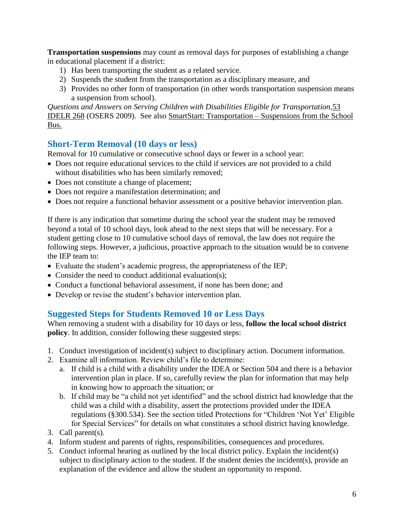**Transportation suspensions** may count as removal days for purposes of establishing a change in educational placement if a district:

- 1) Has been transporting the student as a related service.
- 2) Suspends the student from the transportation as a disciplinary measure, and
- 3) Provides no other form of transportation (in other words transportation suspension means a suspension from school).

*Questions and Answers on Serving Children with Disabilities Eligible for Transportation,*53 IDELR 268 (OSERS 2009). See also SmartStart: Transportation – Suspensions from the School Bus.

## <span id="page-5-0"></span>**Short-Term Removal (10 days or less)**

Removal for 10 cumulative or consecutive school days or fewer in a school year:

- Does not require educational services to the child if services are not provided to a child without disabilities who has been similarly removed;
- Does not constitute a change of placement;
- Does not require a manifestation determination; and
- Does not require a functional behavior assessment or a positive behavior intervention plan.

If there is any indication that sometime during the school year the student may be removed beyond a total of 10 school days, look ahead to the next steps that will be necessary. For a student getting close to 10 cumulative school days of removal, the law does not require the following steps. However, a judicious, proactive approach to the situation would be to convene the IEP team to:

- Evaluate the student's academic progress, the appropriateness of the IEP;
- Consider the need to conduct additional evaluation(s);
- Conduct a functional behavioral assessment, if none has been done; and
- Develop or revise the student's behavior intervention plan.

## <span id="page-5-1"></span>**Suggested Steps for Students Removed 10 or Less Days**

When removing a student with a disability for 10 days or less, **follow the local school district policy**. In addition, consider following these suggested steps:

- 1. Conduct investigation of incident(s) subject to disciplinary action. Document information.
- 2. Examine all information. Review child's file to determine:
	- a. If child is a child with a disability under the IDEA or Section 504 and there is a behavior intervention plan in place. If so, carefully review the plan for information that may help in knowing how to approach the situation; or
	- b. If child may be "a child not yet identified" and the school district had knowledge that the child was a child with a disability, assert the protections provided under the IDEA regulations (§300.534). See the section titled Protections for "Children 'Not Yet' Eligible for Special Services" for details on what constitutes a school district having knowledge.
- 3. Call parent(s).
- 4. Inform student and parents of rights, responsibilities, consequences and procedures.
- 5. Conduct informal hearing as outlined by the local district policy. Explain the incident(s) subject to disciplinary action to the student. If the student denies the incident(s), provide an explanation of the evidence and allow the student an opportunity to respond.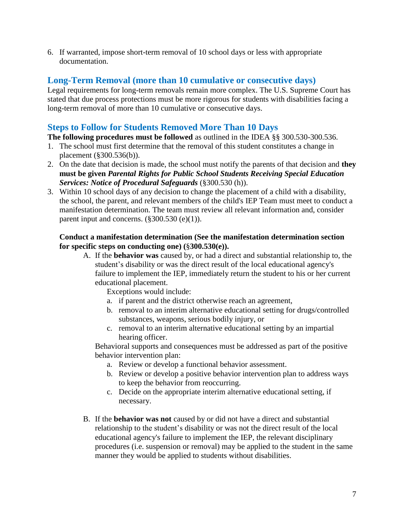6. If warranted, impose short-term removal of 10 school days or less with appropriate documentation.

## <span id="page-6-0"></span>**Long-Term Removal (more than 10 cumulative or consecutive days)**

Legal requirements for long-term removals remain more complex. The U.S. Supreme Court has stated that due process protections must be more rigorous for students with disabilities facing a long-term removal of more than 10 cumulative or consecutive days.

## <span id="page-6-1"></span>**Steps to Follow for Students Removed More Than 10 Days**

**The following procedures must be followed** as outlined in the IDEA §§ 300.530-300.536.

- 1. The school must first determine that the removal of this student constitutes a change in placement (§300.536(b)).
- 2. On the date that decision is made, the school must notify the parents of that decision and **they must be given** *Parental Rights for Public School Students Receiving Special Education Services: Notice of Procedural Safeguards* (§300.530 (h)).
- 3. Within 10 school days of any decision to change the placement of a child with a disability, the school, the parent, and relevant members of the child's IEP Team must meet to conduct a manifestation determination. The team must review all relevant information and, consider parent input and concerns.  $(\frac{8300.530}{e})(1)$ .

#### **Conduct a manifestation determination (See the manifestation determination section for specific steps on conducting one) (**§**300.530(e)).**

A. If the **behavior was** caused by, or had a direct and substantial relationship to, the student's disability or was the direct result of the local educational agency's failure to implement the IEP, immediately return the student to his or her current educational placement.

Exceptions would include:

- a. if parent and the district otherwise reach an agreement,
- b. removal to an interim alternative educational setting for drugs/controlled substances, weapons, serious bodily injury, or
- c. removal to an interim alternative educational setting by an impartial hearing officer.

Behavioral supports and consequences must be addressed as part of the positive behavior intervention plan:

- a. Review or develop a functional behavior assessment.
- b. Review or develop a positive behavior intervention plan to address ways to keep the behavior from reoccurring.
- c. Decide on the appropriate interim alternative educational setting, if necessary.
- B. If the **behavior was not** caused by or did not have a direct and substantial relationship to the student's disability or was not the direct result of the local educational agency's failure to implement the IEP, the relevant disciplinary procedures (i.e. suspension or removal) may be applied to the student in the same manner they would be applied to students without disabilities.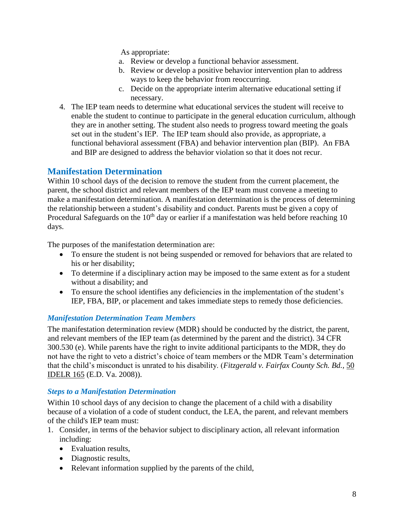As appropriate:

- a. Review or develop a functional behavior assessment.
- b. Review or develop a positive behavior intervention plan to address ways to keep the behavior from reoccurring.
- c. Decide on the appropriate interim alternative educational setting if necessary.
- 4. The IEP team needs to determine what educational services the student will receive to enable the student to continue to participate in the general education curriculum, although they are in another setting. The student also needs to progress toward meeting the goals set out in the student's IEP. The IEP team should also provide, as appropriate, a functional behavioral assessment (FBA) and behavior intervention plan (BIP). An FBA and BIP are designed to address the behavior violation so that it does not recur.

## <span id="page-7-0"></span>**Manifestation Determination**

Within 10 school days of the decision to remove the student from the current placement, the parent, the school district and relevant members of the IEP team must convene a meeting to make a manifestation determination. A manifestation determination is the process of determining the relationship between a student's disability and conduct. Parents must be given a copy of Procedural Safeguards on the  $10<sup>th</sup>$  day or earlier if a manifestation was held before reaching 10 days.

The purposes of the manifestation determination are:

- To ensure the student is not being suspended or removed for behaviors that are related to his or her disability;
- To determine if a disciplinary action may be imposed to the same extent as for a student without a disability; and
- To ensure the school identifies any deficiencies in the implementation of the student's IEP, FBA, BIP, or placement and takes immediate steps to remedy those deficiencies.

#### <span id="page-7-1"></span>*Manifestation Determination Team Members*

The manifestation determination review (MDR) should be conducted by the district, the parent, and relevant members of the IEP team (as determined by the parent and the district). 34 CFR 300.530 (e). While parents have the right to invite additional participants to the MDR, they do not have the right to veto a district's choice of team members or the MDR Team's determination that the child's misconduct is unrated to his disability. (*Fitzgerald v. Fairfax County Sch. Bd.,* 50 IDELR 165 (E.D. Va. 2008)).

#### <span id="page-7-2"></span>*Steps to a Manifestation Determination*

Within 10 school days of any decision to change the placement of a child with a disability because of a violation of a code of student conduct, the LEA, the parent, and relevant members of the child's IEP team must:

- 1. Consider, in terms of the behavior subject to disciplinary action, all relevant information including:
	- Evaluation results.
	- Diagnostic results,
	- Relevant information supplied by the parents of the child,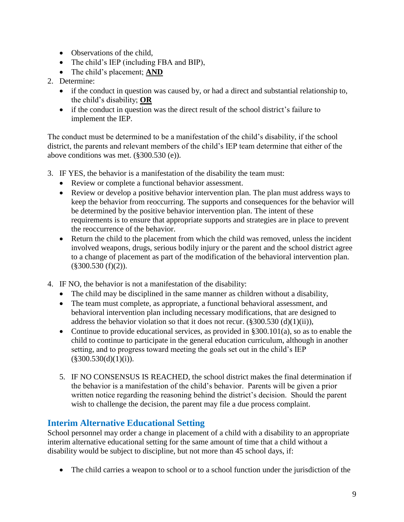- Observations of the child,
- The child's IEP (including FBA and BIP),
- The child's placement; **AND**
- 2. Determine:
	- if the conduct in question was caused by, or had a direct and substantial relationship to, the child's disability; **OR**
	- if the conduct in question was the direct result of the school district's failure to implement the IEP.

The conduct must be determined to be a manifestation of the child's disability, if the school district, the parents and relevant members of the child's IEP team determine that either of the above conditions was met. (§300.530 (e)).

- 3. IF YES, the behavior is a manifestation of the disability the team must:
	- Review or complete a functional behavior assessment.
	- Review or develop a positive behavior intervention plan. The plan must address ways to keep the behavior from reoccurring. The supports and consequences for the behavior will be determined by the positive behavior intervention plan. The intent of these requirements is to ensure that appropriate supports and strategies are in place to prevent the reoccurrence of the behavior.
	- Return the child to the placement from which the child was removed, unless the incident involved weapons, drugs, serious bodily injury or the parent and the school district agree to a change of placement as part of the modification of the behavioral intervention plan.  $(\$300.530(f)(2)).$
- 4. IF NO, the behavior is not a manifestation of the disability:
	- The child may be disciplined in the same manner as children without a disability,
	- The team must complete, as appropriate, a functional behavioral assessment, and behavioral intervention plan including necessary modifications, that are designed to address the behavior violation so that it does not recur.  $(\frac{2300.530}{d})(1)(ii)$ ,
	- Continue to provide educational services, as provided in §300.101(a), so as to enable the child to continue to participate in the general education curriculum, although in another setting, and to progress toward meeting the goals set out in the child's IEP  $(\$300.530(d)(1)(i)).$
	- 5. IF NO CONSENSUS IS REACHED, the school district makes the final determination if the behavior is a manifestation of the child's behavior. Parents will be given a prior written notice regarding the reasoning behind the district's decision. Should the parent wish to challenge the decision, the parent may file a due process complaint.

## <span id="page-8-0"></span>**Interim Alternative Educational Setting**

School personnel may order a change in placement of a child with a disability to an appropriate interim alternative educational setting for the same amount of time that a child without a disability would be subject to discipline, but not more than 45 school days, if:

• The child carries a weapon to school or to a school function under the jurisdiction of the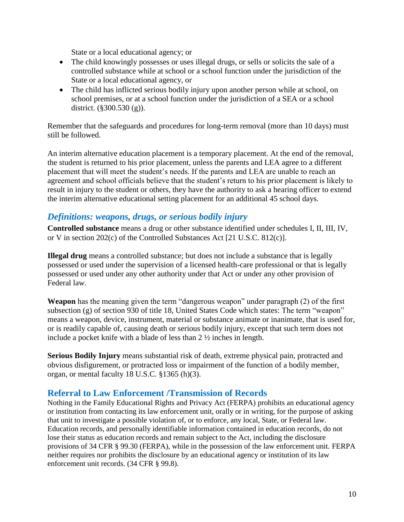State or a local educational agency; or

- The child knowingly possesses or uses illegal drugs, or sells or solicits the sale of a controlled substance while at school or a school function under the jurisdiction of the State or a local educational agency, or
- The child has inflicted serious bodily injury upon another person while at school, on school premises, or at a school function under the jurisdiction of a SEA or a school district. (§300.530 (g)).

Remember that the safeguards and procedures for long-term removal (more than 10 days) must still be followed.

An interim alternative education placement is a temporary placement. At the end of the removal, the student is returned to his prior placement, unless the parents and LEA agree to a different placement that will meet the student's needs. If the parents and LEA are unable to reach an agreement and school officials believe that the student's return to his prior placement is likely to result in injury to the student or others, they have the authority to ask a hearing officer to extend the interim alternative educational setting placement for an additional 45 school days.

## <span id="page-9-0"></span>*Definitions: weapons, drugs, or serious bodily injury*

**Controlled substance** means a drug or other substance identified under schedules I, II, III, IV, or V in section 202(c) of the Controlled Substances Act [21 U.S.C. 812(c)].

**Illegal drug** means a controlled substance; but does not include a substance that is legally possessed or used under the supervision of a licensed health-care professional or that is legally possessed or used under any other authority under that Act or under any other provision of Federal law.

**Weapon** has the meaning given the term "dangerous weapon" under paragraph (2) of the first subsection (g) of section 930 of title 18, United States Code which states: The term "weapon" means a weapon, device, instrument, material or substance animate or inanimate, that is used for, or is readily capable of, causing death or serious bodily injury, except that such term does not include a pocket knife with a blade of less than 2 ½ inches in length.

**Serious Bodily Injury** means substantial risk of death, extreme physical pain, protracted and obvious disfigurement, or protracted loss or impairment of the function of a bodily member, organ, or mental faculty 18 U.S.C. §1365 (h)(3).

## <span id="page-9-1"></span>**Referral to Law Enforcement /Transmission of Records**

Nothing in the Family Educational Rights and Privacy Act (FERPA) prohibits an educational agency or institution from contacting its law enforcement unit, orally or in writing, for the purpose of asking that unit to investigate a possible violation of, or to enforce, any local, State, or Federal law. Education records, and personally identifiable information contained in education records, do not lose their status as education records and remain subject to the Act, including the disclosure provisions of 34 CFR § 99.30 (FERPA), while in the possession of the law enforcement unit. FERPA neither requires nor prohibits the disclosure by an educational agency or institution of its law enforcement unit records. (34 CFR § 99.8).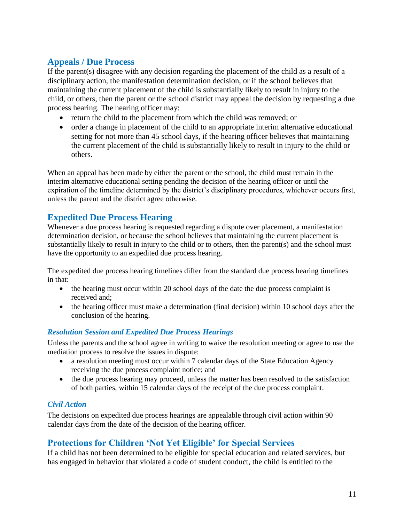## <span id="page-10-0"></span>**Appeals / Due Process**

If the parent(s) disagree with any decision regarding the placement of the child as a result of a disciplinary action, the manifestation determination decision, or if the school believes that maintaining the current placement of the child is substantially likely to result in injury to the child, or others, then the parent or the school district may appeal the decision by requesting a due process hearing. The hearing officer may:

- return the child to the placement from which the child was removed; or
- order a change in placement of the child to an appropriate interim alternative educational setting for not more than 45 school days, if the hearing officer believes that maintaining the current placement of the child is substantially likely to result in injury to the child or others.

When an appeal has been made by either the parent or the school, the child must remain in the interim alternative educational setting pending the decision of the hearing officer or until the expiration of the timeline determined by the district's disciplinary procedures, whichever occurs first, unless the parent and the district agree otherwise.

## <span id="page-10-1"></span>**Expedited Due Process Hearing**

Whenever a due process hearing is requested regarding a dispute over placement, a manifestation determination decision, or because the school believes that maintaining the current placement is substantially likely to result in injury to the child or to others, then the parent(s) and the school must have the opportunity to an expedited due process hearing.

The expedited due process hearing timelines differ from the standard due process hearing timelines in that:

- the hearing must occur within 20 school days of the date the due process complaint is received and;
- the hearing officer must make a determination (final decision) within 10 school days after the conclusion of the hearing.

#### <span id="page-10-2"></span>*Resolution Session and Expedited Due Process Hearings*

Unless the parents and the school agree in writing to waive the resolution meeting or agree to use the mediation process to resolve the issues in dispute:

- a resolution meeting must occur within 7 calendar days of the State Education Agency receiving the due process complaint notice; and
- the due process hearing may proceed, unless the matter has been resolved to the satisfaction of both parties, within 15 calendar days of the receipt of the due process complaint.

#### <span id="page-10-3"></span>*Civil Action*

The decisions on expedited due process hearings are appealable through civil action within 90 calendar days from the date of the decision of the hearing officer.

## <span id="page-10-4"></span>**Protections for Children 'Not Yet Eligible' for Special Services**

If a child has not been determined to be eligible for special education and related services, but has engaged in behavior that violated a code of student conduct, the child is entitled to the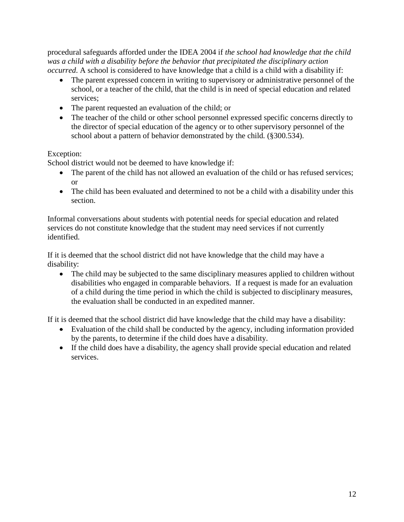procedural safeguards afforded under the IDEA 2004 if *the school had knowledge that the child was a child with a disability before the behavior that precipitated the disciplinary action occurred*. A school is considered to have knowledge that a child is a child with a disability if:

- The parent expressed concern in writing to supervisory or administrative personnel of the school, or a teacher of the child*,* that the child is in need of special education and related services;
- The parent requested an evaluation of the child; or
- The teacher of the child or other school personnel expressed specific concerns directly to the director of special education of the agency or to other supervisory personnel of the school about a pattern of behavior demonstrated by the child*.* (§300.534).

#### Exception:

School district would not be deemed to have knowledge if:

- The parent of the child has not allowed an evaluation of the child or has refused services; or
- The child has been evaluated and determined to not be a child with a disability under this section.

Informal conversations about students with potential needs for special education and related services do not constitute knowledge that the student may need services if not currently identified.

If it is deemed that the school district did not have knowledge that the child may have a disability:

• The child may be subjected to the same disciplinary measures applied to children without disabilities who engaged in comparable behaviors. If a request is made for an evaluation of a child during the time period in which the child is subjected to disciplinary measures, the evaluation shall be conducted in an expedited manner.

If it is deemed that the school district did have knowledge that the child may have a disability:

- Evaluation of the child shall be conducted by the agency, including information provided by the parents, to determine if the child does have a disability.
- If the child does have a disability, the agency shall provide special education and related services.